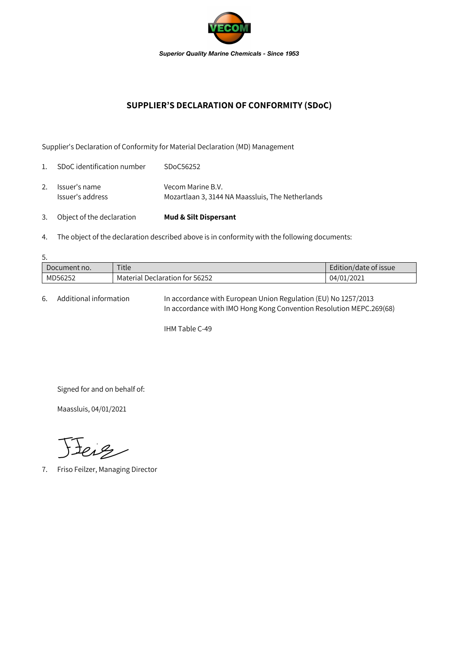

## **SUPPLIER'S DECLARATION OF CONFORMITY (SDoC)**

Supplier's Declaration of Conformity for Material Declaration (MD) Management

| 3.             | Object of the declaration         | <b>Mud &amp; Silt Dispersant</b>                                      |
|----------------|-----------------------------------|-----------------------------------------------------------------------|
| 2.             | Issuer's name<br>Issuer's address | Vecom Marine B.V.<br>Mozartlaan 3, 3144 NA Maassluis, The Netherlands |
| $\mathbf{1}$ . | SDoC identification number        | SDoC56252                                                             |

4. The object of the declaration described above is in conformity with the following documents:

| 5.           |                                |                       |  |  |  |  |
|--------------|--------------------------------|-----------------------|--|--|--|--|
| Document no. | Title                          | Edition/date of issue |  |  |  |  |
| MD56252      | Material Declaration for 56252 | 04/01/2021            |  |  |  |  |

6. Additional information In accordance with European Union Regulation (EU) No 1257/2013 In accordance with IMO Hong Kong Convention Resolution MEPC.269(68)

IHM Table C-49

Signed for and on behalf of:

Maassluis, 04/01/2021

Feig

7. Friso Feilzer, Managing Director